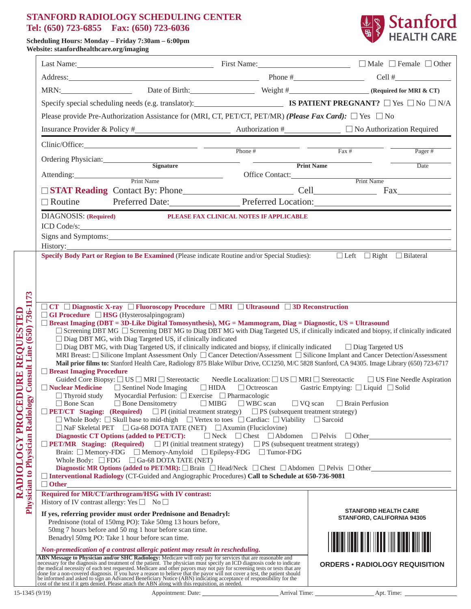#### **STANFORD RADIOLOGY SCHEDULING CENTER Tel: (650) 723-6855 Fax: (650) 723-6036**



**Scheduling Hours: Monday – Friday 7:30am – 6:00pm Website: stanfordhealthcare.org/imaging**

|                                                                                                                                                         |                                                                                                                                                                                                                                                                                                                                                                                                                                                                                                                                                                                                                                                                                                                                                                                                                                                                                                                                                                                                                                                                                                                                                                                                                                                                                                                                                                                                                                                                                                                                                                                                                                                                                                                                                                                                                                                                                                                                                                                                                                                                                                                                                                                                                                                                                                                                   |                                                                                                                                                                                                                                                                                                                                                                                  |                                         |                                       | MRN: Date of Birth: Weight # Weight # (Required for MRI & CT) |  |  |  |  |  |
|---------------------------------------------------------------------------------------------------------------------------------------------------------|-----------------------------------------------------------------------------------------------------------------------------------------------------------------------------------------------------------------------------------------------------------------------------------------------------------------------------------------------------------------------------------------------------------------------------------------------------------------------------------------------------------------------------------------------------------------------------------------------------------------------------------------------------------------------------------------------------------------------------------------------------------------------------------------------------------------------------------------------------------------------------------------------------------------------------------------------------------------------------------------------------------------------------------------------------------------------------------------------------------------------------------------------------------------------------------------------------------------------------------------------------------------------------------------------------------------------------------------------------------------------------------------------------------------------------------------------------------------------------------------------------------------------------------------------------------------------------------------------------------------------------------------------------------------------------------------------------------------------------------------------------------------------------------------------------------------------------------------------------------------------------------------------------------------------------------------------------------------------------------------------------------------------------------------------------------------------------------------------------------------------------------------------------------------------------------------------------------------------------------------------------------------------------------------------------------------------------------|----------------------------------------------------------------------------------------------------------------------------------------------------------------------------------------------------------------------------------------------------------------------------------------------------------------------------------------------------------------------------------|-----------------------------------------|---------------------------------------|---------------------------------------------------------------|--|--|--|--|--|
|                                                                                                                                                         |                                                                                                                                                                                                                                                                                                                                                                                                                                                                                                                                                                                                                                                                                                                                                                                                                                                                                                                                                                                                                                                                                                                                                                                                                                                                                                                                                                                                                                                                                                                                                                                                                                                                                                                                                                                                                                                                                                                                                                                                                                                                                                                                                                                                                                                                                                                                   | Specify special scheduling needs (e.g. translator):<br><b>IS PATIENT PREGNANT?</b> $\Box$ Yes $\Box$ No $\Box$ N/A                                                                                                                                                                                                                                                               |                                         |                                       |                                                               |  |  |  |  |  |
|                                                                                                                                                         |                                                                                                                                                                                                                                                                                                                                                                                                                                                                                                                                                                                                                                                                                                                                                                                                                                                                                                                                                                                                                                                                                                                                                                                                                                                                                                                                                                                                                                                                                                                                                                                                                                                                                                                                                                                                                                                                                                                                                                                                                                                                                                                                                                                                                                                                                                                                   | Please provide Pre-Authorization Assistance for (MRI, CT, PET/CT, PET/MR) (Please Fax Card): $\Box$ Yes $\Box$ No                                                                                                                                                                                                                                                                |                                         |                                       |                                                               |  |  |  |  |  |
|                                                                                                                                                         |                                                                                                                                                                                                                                                                                                                                                                                                                                                                                                                                                                                                                                                                                                                                                                                                                                                                                                                                                                                                                                                                                                                                                                                                                                                                                                                                                                                                                                                                                                                                                                                                                                                                                                                                                                                                                                                                                                                                                                                                                                                                                                                                                                                                                                                                                                                                   |                                                                                                                                                                                                                                                                                                                                                                                  |                                         |                                       |                                                               |  |  |  |  |  |
|                                                                                                                                                         |                                                                                                                                                                                                                                                                                                                                                                                                                                                                                                                                                                                                                                                                                                                                                                                                                                                                                                                                                                                                                                                                                                                                                                                                                                                                                                                                                                                                                                                                                                                                                                                                                                                                                                                                                                                                                                                                                                                                                                                                                                                                                                                                                                                                                                                                                                                                   | $Clinic/Office:$ Phone #                                                                                                                                                                                                                                                                                                                                                         |                                         | $\overline{Fax \#}$                   | Pager $#$                                                     |  |  |  |  |  |
|                                                                                                                                                         | Ordering Physician:                                                                                                                                                                                                                                                                                                                                                                                                                                                                                                                                                                                                                                                                                                                                                                                                                                                                                                                                                                                                                                                                                                                                                                                                                                                                                                                                                                                                                                                                                                                                                                                                                                                                                                                                                                                                                                                                                                                                                                                                                                                                                                                                                                                                                                                                                                               | Signature                                                                                                                                                                                                                                                                                                                                                                        |                                         | <b>Print Name</b>                     | Date                                                          |  |  |  |  |  |
|                                                                                                                                                         |                                                                                                                                                                                                                                                                                                                                                                                                                                                                                                                                                                                                                                                                                                                                                                                                                                                                                                                                                                                                                                                                                                                                                                                                                                                                                                                                                                                                                                                                                                                                                                                                                                                                                                                                                                                                                                                                                                                                                                                                                                                                                                                                                                                                                                                                                                                                   | Attending: Print Name                                                                                                                                                                                                                                                                                                                                                            |                                         | Office Contact: Print Name            |                                                               |  |  |  |  |  |
|                                                                                                                                                         |                                                                                                                                                                                                                                                                                                                                                                                                                                                                                                                                                                                                                                                                                                                                                                                                                                                                                                                                                                                                                                                                                                                                                                                                                                                                                                                                                                                                                                                                                                                                                                                                                                                                                                                                                                                                                                                                                                                                                                                                                                                                                                                                                                                                                                                                                                                                   |                                                                                                                                                                                                                                                                                                                                                                                  |                                         |                                       |                                                               |  |  |  |  |  |
|                                                                                                                                                         | $\Box$ Routine                                                                                                                                                                                                                                                                                                                                                                                                                                                                                                                                                                                                                                                                                                                                                                                                                                                                                                                                                                                                                                                                                                                                                                                                                                                                                                                                                                                                                                                                                                                                                                                                                                                                                                                                                                                                                                                                                                                                                                                                                                                                                                                                                                                                                                                                                                                    | Preferred Date: Preferred Location:                                                                                                                                                                                                                                                                                                                                              |                                         |                                       |                                                               |  |  |  |  |  |
|                                                                                                                                                         | <b>DIAGNOSIS:</b> (Required)                                                                                                                                                                                                                                                                                                                                                                                                                                                                                                                                                                                                                                                                                                                                                                                                                                                                                                                                                                                                                                                                                                                                                                                                                                                                                                                                                                                                                                                                                                                                                                                                                                                                                                                                                                                                                                                                                                                                                                                                                                                                                                                                                                                                                                                                                                      |                                                                                                                                                                                                                                                                                                                                                                                  | PLEASE FAX CLINICAL NOTES IF APPLICABLE |                                       |                                                               |  |  |  |  |  |
|                                                                                                                                                         |                                                                                                                                                                                                                                                                                                                                                                                                                                                                                                                                                                                                                                                                                                                                                                                                                                                                                                                                                                                                                                                                                                                                                                                                                                                                                                                                                                                                                                                                                                                                                                                                                                                                                                                                                                                                                                                                                                                                                                                                                                                                                                                                                                                                                                                                                                                                   | ICD Code/s:                                                                                                                                                                                                                                                                                                                                                                      |                                         |                                       |                                                               |  |  |  |  |  |
|                                                                                                                                                         |                                                                                                                                                                                                                                                                                                                                                                                                                                                                                                                                                                                                                                                                                                                                                                                                                                                                                                                                                                                                                                                                                                                                                                                                                                                                                                                                                                                                                                                                                                                                                                                                                                                                                                                                                                                                                                                                                                                                                                                                                                                                                                                                                                                                                                                                                                                                   | Signs and Symptoms: Universe and Symptoms: Universe and Symptoms: Universe and Symptoms:                                                                                                                                                                                                                                                                                         |                                         |                                       |                                                               |  |  |  |  |  |
|                                                                                                                                                         |                                                                                                                                                                                                                                                                                                                                                                                                                                                                                                                                                                                                                                                                                                                                                                                                                                                                                                                                                                                                                                                                                                                                                                                                                                                                                                                                                                                                                                                                                                                                                                                                                                                                                                                                                                                                                                                                                                                                                                                                                                                                                                                                                                                                                                                                                                                                   | Specify Body Part or Region to Be Examined (Please indicate Routine and/or Special Studies):<br><del>□ Left</del> □ Right □ Bilateral                                                                                                                                                                                                                                            |                                         |                                       |                                                               |  |  |  |  |  |
|                                                                                                                                                         |                                                                                                                                                                                                                                                                                                                                                                                                                                                                                                                                                                                                                                                                                                                                                                                                                                                                                                                                                                                                                                                                                                                                                                                                                                                                                                                                                                                                                                                                                                                                                                                                                                                                                                                                                                                                                                                                                                                                                                                                                                                                                                                                                                                                                                                                                                                                   |                                                                                                                                                                                                                                                                                                                                                                                  |                                         |                                       |                                                               |  |  |  |  |  |
|                                                                                                                                                         |                                                                                                                                                                                                                                                                                                                                                                                                                                                                                                                                                                                                                                                                                                                                                                                                                                                                                                                                                                                                                                                                                                                                                                                                                                                                                                                                                                                                                                                                                                                                                                                                                                                                                                                                                                                                                                                                                                                                                                                                                                                                                                                                                                                                                                                                                                                                   |                                                                                                                                                                                                                                                                                                                                                                                  |                                         |                                       |                                                               |  |  |  |  |  |
|                                                                                                                                                         |                                                                                                                                                                                                                                                                                                                                                                                                                                                                                                                                                                                                                                                                                                                                                                                                                                                                                                                                                                                                                                                                                                                                                                                                                                                                                                                                                                                                                                                                                                                                                                                                                                                                                                                                                                                                                                                                                                                                                                                                                                                                                                                                                                                                                                                                                                                                   |                                                                                                                                                                                                                                                                                                                                                                                  |                                         |                                       |                                                               |  |  |  |  |  |
| 736-1173<br><b>DURE REQUESTED</b><br>(650)<br><b>Consult Line</b><br>$\blacktriangleright$<br>Physician to Physician Radiolog<br><b>RADIOLOGY PROCE</b> | $\Box$ GI Procedure $\Box$ HSG (Hysterosalpingogram)<br>$\Box$ Breast Imaging (DBT = 3D-Like Digital Tomosynthesis), MG = Mammogram, Diag = Diagnostic, US = Ultrasound<br>□ Screening DBT MG □ Screening DBT MG to Diag DBT MG with Diag Targeted US, if clinically indicated and biopsy, if clinically indicated<br>□ Diag DBT MG, with Diag Targeted US, if clinically indicated<br>$\Box$ Diag DBT MG, with Diag Targeted US, if clinically indicated and biopsy, if clinically indicated $\Box$ Diag Targeted US<br>MRI Breast: [Silicone Implant Assessment Only [Cancer Detection/Assessment [Silicone Implant and Cancer Detection/Assessment<br>Mail prior films to: Stanford Health Care, Radiology 875 Blake Wilbur Drive, CC1250, M/C 5828 Stanford, CA 94305. Image Library (650) 723-6717<br><b>Breast Imaging Procedure</b><br>Guided Core Biopsy: $\Box$ US $\Box$ MRI $\Box$ Stereotactic Needle Localization: $\Box$ US $\Box$ MRI $\Box$ Stereotactic $\Box$ US Fine Needle Aspiration<br>□ Nuclear Medicine □ Sentinel Node Imaging □ HIDA □ Octreoscan Gastric Emptying: □ Liquid □ Solid<br>$\Box$ Thyroid study Myocardial Perfusion: $\Box$ Exercise $\Box$ Pharmacologic<br>$\Box$ Bone Scan $\Box$ Bone Densitometry $\Box$ MIBG $\Box$ WBC scan $\Box$ VQ scan $\Box$ Brain Perfusion<br><b>DET/CT</b> Staging: (Required) DPI (initial treatment strategy) DPS (subsequent treatment strategy)<br>□ Whole Body: □ Skull base to mid-thigh □ Vertex to toes □ Cardiac: □ Viability □ Sarcoid<br>$\Box$ NaF Skeletal PET $\Box$ Ga-68 DOTA TATE (NET) $\Box$ Axumin (Fluciclovine)<br>Diagnostic CT Options (added to PET/CT): $\Box$ Neck $\Box$ Chest $\Box$ Abdomen $\Box$ Pelvis $\Box$ Other<br><b>DET/MR</b> Staging: (Required) DPI (initial treatment strategy) DPS (subsequent treatment strategy)<br>Brain: □ Memory-FDG □ Memory-Amyloid □ Epilepsy-FDG □ Tumor-FDG<br>Whole Body: $\Box$ FDG $\Box$ Ga-68 DOTA TATE (NET)<br>Diagnostic MR Options (added to PET/MR): $\Box$ Brain $\Box$ Head/Neck $\Box$ Chest $\Box$ Abdomen $\Box$ Pelvis $\Box$ Other<br>□ Interventional Radiology (CT-Guided and Angiographic Procedures) Call to Schedule at 650-736-9081<br><u> 1989 - Johann Barn, mars ann an t-Amhain Aonaich an t-Aonaich an t-Aonaich ann an t-Aonaich an t-Aonaich ann a</u> |                                                                                                                                                                                                                                                                                                                                                                                  |                                         |                                       |                                                               |  |  |  |  |  |
|                                                                                                                                                         | History of IV contrast allergy: Yes $\Box$ No $\Box$                                                                                                                                                                                                                                                                                                                                                                                                                                                                                                                                                                                                                                                                                                                                                                                                                                                                                                                                                                                                                                                                                                                                                                                                                                                                                                                                                                                                                                                                                                                                                                                                                                                                                                                                                                                                                                                                                                                                                                                                                                                                                                                                                                                                                                                                              | Required for MR/CT/arthrogram/HSG with IV contrast:<br>If yes, referring provider must order Prednisone and Benadryl:<br>Prednisone (total of 150mg PO): Take 50mg 13 hours before,<br>50mg 7 hours before and 50 mg 1 hour before scan time.<br>Benadryl 50mg PO: Take 1 hour before scan time.<br>Non-premedication of a contrast allergic patient may result in rescheduling. |                                         |                                       | <b>STANFORD HEALTH CARE</b><br>STANFORD, CALIFORNIA 94305     |  |  |  |  |  |
|                                                                                                                                                         |                                                                                                                                                                                                                                                                                                                                                                                                                                                                                                                                                                                                                                                                                                                                                                                                                                                                                                                                                                                                                                                                                                                                                                                                                                                                                                                                                                                                                                                                                                                                                                                                                                                                                                                                                                                                                                                                                                                                                                                                                                                                                                                                                                                                                                                                                                                                   | ABN Message to Physician and/or SHC Radiology: Medicare will only pay for services that are reasonable and necessary for the diagnosis and treatment of the patient. The physician must specify an ICD diagnosis code to indic                                                                                                                                                   |                                         | <b>ORDERS • RADIOLOGY REQUISITION</b> |                                                               |  |  |  |  |  |
| $15-1345(9/19)$                                                                                                                                         |                                                                                                                                                                                                                                                                                                                                                                                                                                                                                                                                                                                                                                                                                                                                                                                                                                                                                                                                                                                                                                                                                                                                                                                                                                                                                                                                                                                                                                                                                                                                                                                                                                                                                                                                                                                                                                                                                                                                                                                                                                                                                                                                                                                                                                                                                                                                   |                                                                                                                                                                                                                                                                                                                                                                                  |                                         |                                       |                                                               |  |  |  |  |  |